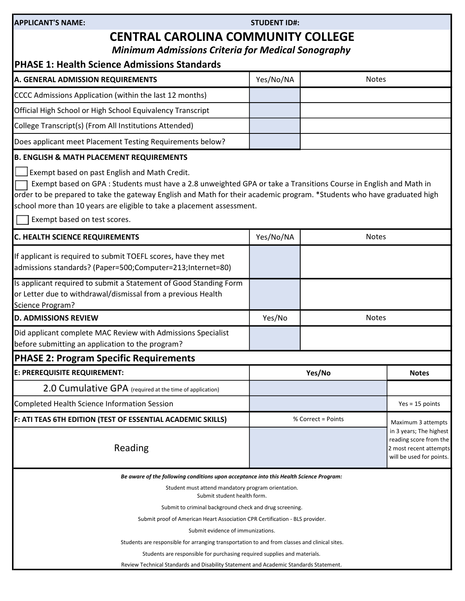### STUDENT ID#:

# CENTRAL CAROLINA COMMUNITY COLLEGE

Minimum Admissions Criteria for Medical Sonography

| Minimum Admissions Criteria for Medical Sonography<br><b>PHASE 1: Health Science Admissions Standards</b>                                                                                                                                                                                                                                                                                                                                                      |                    |                                                                                                                               |                   |
|----------------------------------------------------------------------------------------------------------------------------------------------------------------------------------------------------------------------------------------------------------------------------------------------------------------------------------------------------------------------------------------------------------------------------------------------------------------|--------------------|-------------------------------------------------------------------------------------------------------------------------------|-------------------|
| A. GENERAL ADMISSION REQUIREMENTS                                                                                                                                                                                                                                                                                                                                                                                                                              | Yes/No/NA          | <b>Notes</b>                                                                                                                  |                   |
| CCCC Admissions Application (within the last 12 months)                                                                                                                                                                                                                                                                                                                                                                                                        |                    |                                                                                                                               |                   |
| Official High School or High School Equivalency Transcript                                                                                                                                                                                                                                                                                                                                                                                                     |                    |                                                                                                                               |                   |
| College Transcript(s) (From All Institutions Attended)                                                                                                                                                                                                                                                                                                                                                                                                         |                    |                                                                                                                               |                   |
| Does applicant meet Placement Testing Requirements below?                                                                                                                                                                                                                                                                                                                                                                                                      |                    |                                                                                                                               |                   |
| <b>B. ENGLISH &amp; MATH PLACEMENT REQUIREMENTS</b><br>Exempt based on past English and Math Credit.<br>Exempt based on GPA : Students must have a 2.8 unweighted GPA or take a Transitions Course in English and Math in<br>order to be prepared to take the gateway English and Math for their academic program. *Students who have graduated high<br>school more than 10 years are eligible to take a placement assessment.<br>Exempt based on test scores. |                    |                                                                                                                               |                   |
| C. HEALTH SCIENCE REQUIREMENTS                                                                                                                                                                                                                                                                                                                                                                                                                                 | Yes/No/NA          | <b>Notes</b>                                                                                                                  |                   |
| If applicant is required to submit TOEFL scores, have they met<br>admissions standards? (Paper=500;Computer=213;Internet=80)                                                                                                                                                                                                                                                                                                                                   |                    |                                                                                                                               |                   |
| Is applicant required to submit a Statement of Good Standing Form<br>or Letter due to withdrawal/dismissal from a previous Health<br>Science Program?                                                                                                                                                                                                                                                                                                          |                    |                                                                                                                               |                   |
| <b>D. ADMISSIONS REVIEW</b>                                                                                                                                                                                                                                                                                                                                                                                                                                    | Yes/No             | <b>Notes</b>                                                                                                                  |                   |
| Did applicant complete MAC Review with Admissions Specialist<br>before submitting an application to the program?                                                                                                                                                                                                                                                                                                                                               |                    |                                                                                                                               |                   |
| <b>PHASE 2: Program Specific Requirements</b>                                                                                                                                                                                                                                                                                                                                                                                                                  |                    |                                                                                                                               |                   |
| E: PREREQUISITE REQUIREMENT:                                                                                                                                                                                                                                                                                                                                                                                                                                   |                    | Yes/No                                                                                                                        | <b>Notes</b>      |
| 2.0 Cumulative GPA (required at the time of application)                                                                                                                                                                                                                                                                                                                                                                                                       |                    |                                                                                                                               |                   |
| Completed Health Science Information Session                                                                                                                                                                                                                                                                                                                                                                                                                   |                    |                                                                                                                               | $Yes = 15 points$ |
| F: ATI TEAS 6TH EDITION (TEST OF ESSENTIAL ACADEMIC SKILLS)<br>Reading                                                                                                                                                                                                                                                                                                                                                                                         | % Correct = Points | Maximum 3 attempts<br>in 3 years; The highest<br>reading score from the<br>2 most recent attempts<br>will be used for points. |                   |
| Be aware of the following conditions upon acceptance into this Health Science Program:<br>Student must attend mandatory program orientation.<br>Submit student health form.<br>Submit to criminal background check and drug screening.<br>Submit proof of American Heart Association CPR Certification - BLS provider.<br>Submit evidence of immunizations.<br>Students are responsible for arranging transportation to and from classes and clinical sites.   |                    |                                                                                                                               |                   |

Students are responsible for purchasing required supplies and materials.

Review Technical Standards and Disability Statement and Academic Standards Statement.